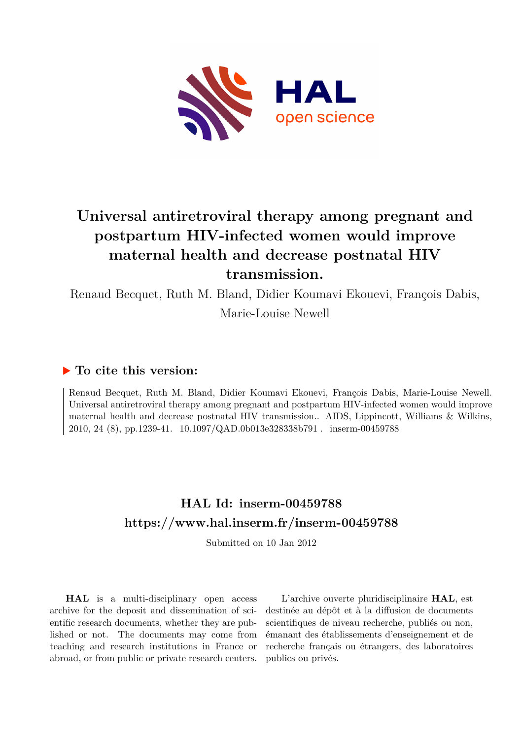

# **Universal antiretroviral therapy among pregnant and postpartum HIV-infected women would improve maternal health and decrease postnatal HIV transmission.**

Renaud Becquet, Ruth M. Bland, Didier Koumavi Ekouevi, François Dabis, Marie-Louise Newell

## **To cite this version:**

Renaud Becquet, Ruth M. Bland, Didier Koumavi Ekouevi, François Dabis, Marie-Louise Newell. Universal antiretroviral therapy among pregnant and postpartum HIV-infected women would improve maternal health and decrease postnatal HIV transmission.. AIDS, Lippincott, Williams & Wilkins, 2010, 24 (8), pp.1239-41.  $10.1097/QAD.0b013e328338b791$ . inserm-00459788

## **HAL Id: inserm-00459788 <https://www.hal.inserm.fr/inserm-00459788>**

Submitted on 10 Jan 2012

**HAL** is a multi-disciplinary open access archive for the deposit and dissemination of scientific research documents, whether they are published or not. The documents may come from teaching and research institutions in France or abroad, or from public or private research centers.

L'archive ouverte pluridisciplinaire **HAL**, est destinée au dépôt et à la diffusion de documents scientifiques de niveau recherche, publiés ou non, émanant des établissements d'enseignement et de recherche français ou étrangers, des laboratoires publics ou privés.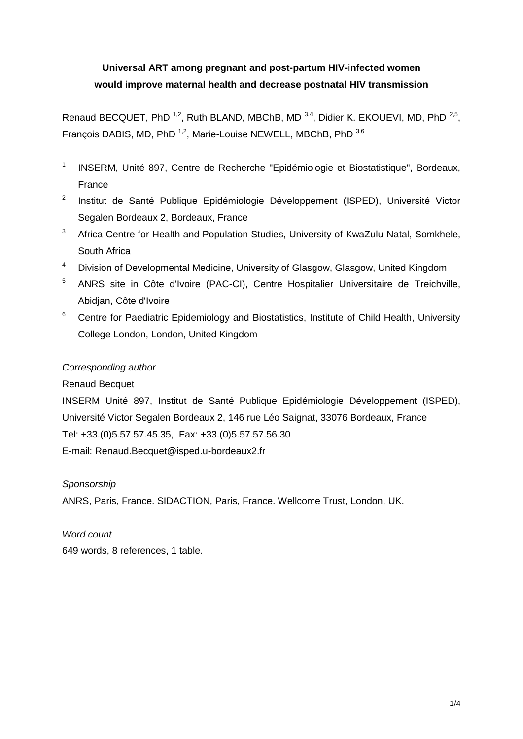## **Universal ART among pregnant and post-partum HIV-infected women would improve maternal health and decrease postnatal HIV transmission**

Renaud BECQUET, PhD<sup>1,2</sup>, Ruth BLAND, MBChB, MD<sup>3,4</sup>, Didier K. EKOUEVI, MD, PhD<sup>2,5</sup>, François DABIS, MD, PhD<sup>1,2</sup>, Marie-Louise NEWELL, MBChB, PhD<sup>3,6</sup>

- 1 INSERM, Unité 897, Centre de Recherche "Epidémiologie et Biostatistique", Bordeaux, France
- 2 Institut de Santé Publique Epidémiologie Développement (ISPED), Université Victor Segalen Bordeaux 2, Bordeaux, France
- <sup>3</sup> Africa Centre for Health and Population Studies, University of KwaZulu-Natal, Somkhele, South Africa
- <sup>4</sup> Division of Developmental Medicine, University of Glasgow, Glasgow, United Kingdom
- <sup>5</sup> ANRS site in Côte d'Ivoire (PAC-CI), Centre Hospitalier Universitaire de Treichville, Abidjan, Côte d'Ivoire
- <sup>6</sup> Centre for Paediatric Epidemiology and Biostatistics, Institute of Child Health, University College London, London, United Kingdom

#### *Corresponding author*

#### Renaud Becquet

INSERM Unité 897, Institut de Santé Publique Epidémiologie Développement (ISPED), Université Victor Segalen Bordeaux 2, 146 rue Léo Saignat, 33076 Bordeaux, France Tel: +33.(0)5.57.57.45.35, Fax: +33.(0)5.57.57.56.30 E-mail: Renaud.Becquet@isped.u-bordeaux2.fr

#### *Sponsorship*

ANRS, Paris, France. SIDACTION, Paris, France. Wellcome Trust, London, UK.

### *Word count*

649 words, 8 references, 1 table.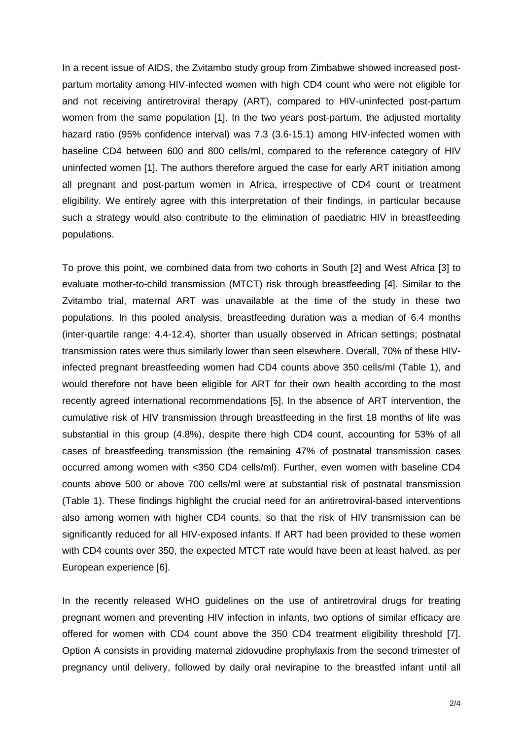In a recent issue of AIDS, the Zvitambo study group from Zimbabwe showed increased postpartum mortality among HIV-infected women with high CD4 count who were not eligible for and not receiving antiretroviral therapy (ART), compared to HIV-uninfected post-partum women from the same population [1]. In the two years post-partum, the adjusted mortality hazard ratio (95% confidence interval) was 7.3 (3.6-15.1) among HIV-infected women with baseline CD4 between 600 and 800 cells/ml, compared to the reference category of HIV uninfected women [1]. The authors therefore argued the case for early ART initiation among all pregnant and post-partum women in Africa, irrespective of CD4 count or treatment eligibility. We entirely agree with this interpretation of their findings, in particular because such a strategy would also contribute to the elimination of paediatric HIV in breastfeeding populations.

To prove this point, we combined data from two cohorts in South [2] and West Africa [3] to evaluate mother-to-child transmission (MTCT) risk through breastfeeding [4]. Similar to the Zvitambo trial, maternal ART was unavailable at the time of the study in these two populations. In this pooled analysis, breastfeeding duration was a median of 6.4 months (inter-quartile range: 4.4-12.4), shorter than usually observed in African settings; postnatal transmission rates were thus similarly lower than seen elsewhere. Overall, 70% of these HIVinfected pregnant breastfeeding women had CD4 counts above 350 cells/ml (Table 1), and would therefore not have been eligible for ART for their own health according to the most recently agreed international recommendations [5]. In the absence of ART intervention, the cumulative risk of HIV transmission through breastfeeding in the first 18 months of life was substantial in this group (4.8%), despite there high CD4 count, accounting for 53% of all cases of breastfeeding transmission (the remaining 47% of postnatal transmission cases occurred among women with <350 CD4 cells/ml). Further, even women with baseline CD4 counts above 500 or above 700 cells/ml were at substantial risk of postnatal transmission (Table 1). These findings highlight the crucial need for an antiretroviral-based interventions also among women with higher CD4 counts, so that the risk of HIV transmission can be significantly reduced for all HIV-exposed infants. If ART had been provided to these women with CD4 counts over 350, the expected MTCT rate would have been at least halved, as per European experience [6].

In the recently released WHO guidelines on the use of antiretroviral drugs for treating pregnant women and preventing HIV infection in infants, two options of similar efficacy are offered for women with CD4 count above the 350 CD4 treatment eligibility threshold [7]. Option A consists in providing maternal zidovudine prophylaxis from the second trimester of pregnancy until delivery, followed by daily oral nevirapine to the breastfed infant until all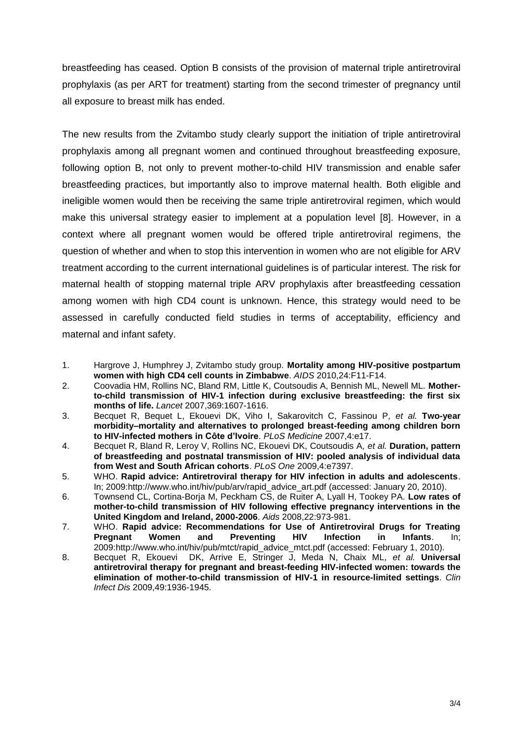breastfeeding has ceased. Option B consists of the provision of maternal triple antiretroviral prophylaxis (as per ART for treatment) starting from the second trimester of pregnancy until all exposure to breast milk has ended.

The new results from the Zvitambo study clearly support the initiation of triple antiretroviral prophylaxis among all pregnant women and continued throughout breastfeeding exposure, following option B, not only to prevent mother-to-child HIV transmission and enable safer breastfeeding practices, but importantly also to improve maternal health. Both eligible and ineligible women would then be receiving the same triple antiretroviral regimen, which would make this universal strategy easier to implement at a population level [8]. However, in a context where all pregnant women would be offered triple antiretroviral regimens, the question of whether and when to stop this intervention in women who are not eligible for ARV treatment according to the current international guidelines is of particular interest. The risk for maternal health of stopping maternal triple ARV prophylaxis after breastfeeding cessation among women with high CD4 count is unknown. Hence, this strategy would need to be assessed in carefully conducted field studies in terms of acceptability, efficiency and maternal and infant safety.

- 1. Hargrove J, Humphrey J, Zvitambo study group. **Mortality among HIV-positive postpartum women with high CD4 cell counts in Zimbabwe**. *AIDS* 2010,24:F11-F14.
- 2. Coovadia HM, Rollins NC, Bland RM, Little K, Coutsoudis A, Bennish ML, Newell ML. **Motherto-child transmission of HIV-1 infection during exclusive breastfeeding: the first six months of life.** *Lancet* 2007,369:1607-1616.
- 3. Becquet R, Bequet L, Ekouevi DK, Viho I, Sakarovitch C, Fassinou P*, et al.* **Two-year morbidity–mortality and alternatives to prolonged breast-feeding among children born to HIV-infected mothers in Côte d'Ivoire**. *PLoS Medicine* 2007,4:e17.
- 4. Becquet R, Bland R, Leroy V, Rollins NC, Ekouevi DK, Coutsoudis A*, et al.* **Duration, pattern of breastfeeding and postnatal transmission of HIV: pooled analysis of individual data from West and South African cohorts**. *PLoS One* 2009,4:e7397.
- 5. WHO. **Rapid advice: Antiretroviral therapy for HIV infection in adults and adolescents**. In; 2009:http://www.who.int/hiv/pub/arv/rapid\_advice\_art.pdf (accessed: January 20, 2010).
- 6. Townsend CL, Cortina-Borja M, Peckham CS, de Ruiter A, Lyall H, Tookey PA. **Low rates of mother-to-child transmission of HIV following effective pregnancy interventions in the United Kingdom and Ireland, 2000-2006**. *Aids* 2008,22:973-981.
- 7. WHO. **Rapid advice: Recommendations for Use of Antiretroviral Drugs for Treating Pregnant Women and Preventing HIV Infection in Infants**. In; 2009:http://www.who.int/hiv/pub/mtct/rapid\_advice\_mtct.pdf (accessed: February 1, 2010).
- 8. Becquet R, Ekouevi DK, Arrive E, Stringer J, Meda N, Chaix ML*, et al.* **Universal antiretroviral therapy for pregnant and breast-feeding HIV-infected women: towards the elimination of mother-to-child transmission of HIV-1 in resource-limited settings**. *Clin Infect Dis* 2009,49:1936-1945.